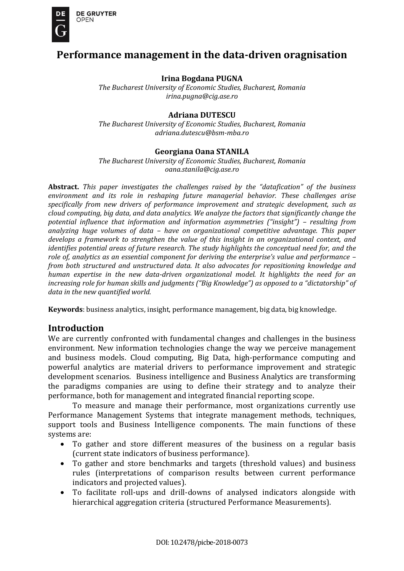

# **Performance management in the data-driven oragnisation**

#### **Irina Bogdana PUGNA**

*The Bucharest University of Economic Studies, Bucharest, Romania [irina.pugna@cig.ase.ro](mailto:irina.pugna@cig.ase.ro)*

#### **Adriana DUTESCU**

*The Bucharest University of Economic Studies, Bucharest, Romania [adriana.dutescu@bsm-mba.ro](mailto:adriana.dutescu@bsm-mba.ro)*

#### **Georgiana Oana STANILA**

*The Bucharest University of Economic Studies, Bucharest, Romania [oana.stanila@cig.ase.ro](mailto:oana.stanila@cig.ase.ro)*

**Abstract.** *This paper investigates the challenges raised by the "datafication" of the business environment and its role in reshaping future managerial behavior. These challenges arise specifically from new drivers of performance improvement and strategic development, such as cloud computing, big data, and data analytics. We analyze the factors that significantly change the potential influence that information and information asymmetries ("insight") – resulting from analyzing huge volumes of data – have on organizational competitive advantage. This paper develops a framework to strengthen the value of this insight in an organizational context, and identifies potential areas of future research. The study highlights the conceptual need for, and the role of, analytics as an essential component for deriving the enterprise's value and performance – from both structured and unstructured data. It also advocates for repositioning knowledge and human expertise in the new data-driven organizational model. It highlights the need for an increasing role for human skills and judgments ("Big Knowledge") as opposed to a "dictatorship" of data in the new quantified world.* 

**Keywords**: business analytics, insight, performance management, big data, big knowledge.

### **Introduction**

We are currently confronted with fundamental changes and challenges in the business environment. New information technologies change the way we perceive management and business models. Cloud computing, Big Data, high-performance computing and powerful analytics are material drivers to performance improvement and strategic development scenarios. Business intelligence and Business Analytics are transforming the paradigms companies are using to define their strategy and to analyze their performance, both for management and integrated financial reporting scope.

To measure and manage their performance, most organizations currently use Performance Management Systems that integrate management methods, techniques, support tools and Business Intelligence components. The main functions of these systems are:

- To gather and store different measures of the business on a regular basis (current state indicators of business performance).
- To gather and store benchmarks and targets (threshold values) and business rules (interpretations of comparison results between current performance indicators and projected values).
- To facilitate roll-ups and drill-downs of analysed indicators alongside with hierarchical aggregation criteria (structured Performance Measurements).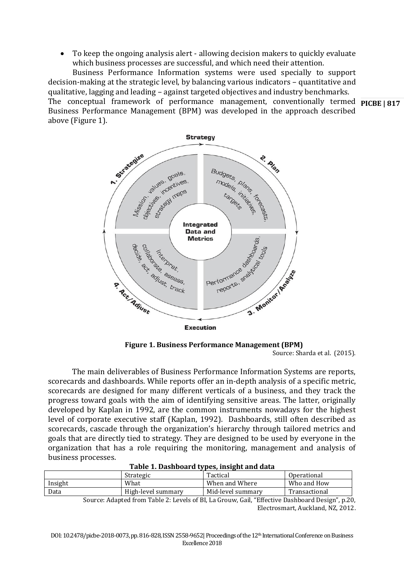To keep the ongoing analysis alert - allowing decision makers to quickly evaluate which business processes are successful, and which need their attention.

The conceptual framework of performance management, conventionally termed **PICBE | 817** Business Performance Information systems were used specially to support decision-making at the strategic level, by balancing various indicators – quantitative and qualitative, lagging and leading – against targeted objectives and industry benchmarks. Business Performance Management (BPM) was developed in the approach described above (Figure 1).



**Figure 1. Business Performance Management (BPM)** Source: Sharda et al. (2015).

The main deliverables of Business Performance Information Systems are reports, scorecards and dashboards. While reports offer an in-depth analysis of a specific metric, scorecards are designed for many different verticals of a business, and they track the progress toward goals with the aim of identifying sensitive areas. The latter, originally developed by Kaplan in 1992, are the common instruments nowadays for the highest level of corporate executive staff (Kaplan, 1992). Dashboards, still often described as scorecards, cascade through the organization's hierarchy through tailored metrics and goals that are directly tied to strategy. They are designed to be used by everyone in the organization that has a role requiring the monitoring, management and analysis of business processes.

|         |  | Strategic          | Tactical                                                                     | Operational          |  |
|---------|--|--------------------|------------------------------------------------------------------------------|----------------------|--|
| Insight |  | What               | When and Where                                                               | Who and How          |  |
| Data    |  | High-level summary | Mid-level summary                                                            | Transactional        |  |
|         |  | m 11 n T           | $\sigma$ $\eta$ $\mu$ $\sigma$<br>$c_{\mathbf{D}}$ $\mathbf{I}$ $\mathbf{A}$ | $\sim$<br>$\sqrt{ }$ |  |

| Table 1. Dashboard types, insight and data |  |  |  |
|--------------------------------------------|--|--|--|
|--------------------------------------------|--|--|--|

Source: Adapted from Table 2: Levels of BI, La Grouw, Gail, "Effective Dashboard Design", p.20, Electrosmart, Auckland, NZ, 2012.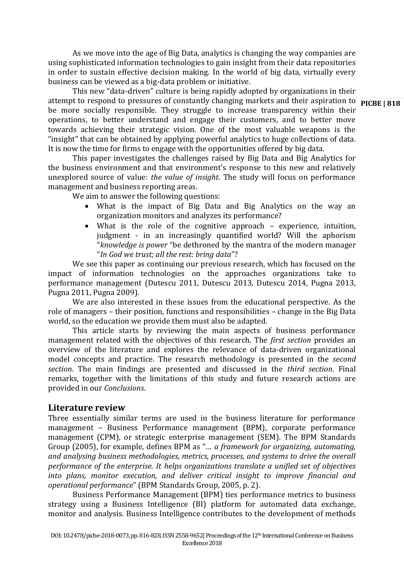As we move into the age of Big Data, analytics is changing the way companies are using sophisticated information technologies to gain insight from their data repositories in order to sustain effective decision making. In the world of big data, virtually every business can be viewed as a big-data problem or initiative.

attempt to respond to pressures of constantly changing markets and their aspiration to **PICBE | 818** This new "data-driven" culture is being rapidly adopted by organizations in their be more socially responsible. They struggle to increase transparency within their operations, to better understand and engage their customers, and to better move towards achieving their strategic vision. One of the most valuable weapons is the "insight" that can be obtained by applying powerful analytics to huge collections of data. It is now the time for firms to engage with the opportunities offered by big data.

This paper investigates the challenges raised by Big Data and Big Analytics for the business environment and that environment's response to this new and relatively unexplored source of value: *the value of insight*. The study will focus on performance management and business reporting areas.

We aim to answer the following questions:

- What is the impact of Big Data and Big Analytics on the way an organization monitors and analyzes its performance?
- What is the role of the cognitive approach experience, intuition, judgment - in an increasingly quantified world? Will the aphorism "*knowledge is power* "be dethroned by the mantra of the modern manager "*In God we trust; all the rest: bring data*"?

We see this paper as continuing our previous research, which has focused on the impact of information technologies on the approaches organizations take to performance management (Dutescu 2011, Dutescu 2013, Dutescu 2014, Pugna 2013, Pugna 2011, Pugna 2009).

We are also interested in these issues from the educational perspective. As the role of managers – their position, functions and responsibilities – change in the Big Data world, so the education we provide them must also be adapted.

This article starts by reviewing the main aspects of business performance management related with the objectives of this research. The *first section* provides an overview of the literature and explores the relevance of data-driven organizational model concepts and practice. The research methodology is presented in the *second section*. The main findings are presented and discussed in the *third section*. Final remarks, together with the limitations of this study and future research actions are provided in our *Conclusions*.

### **Literature review**

Three essentially similar terms are used in the business literature for performance management – Business Performance management (BPM), corporate performance management (CPM), or strategic enterprise management (SEM). The BPM Standards Group (2005), for example, defines BPM as "… *a framework for organizing, automating, and analysing business methodologies, metrics, processes, and systems to drive the overall performance of the enterprise. It helps organizations translate a unified set of objectives into plans, monitor execution, and deliver critical insight to improve financial and operational performance*" (BPM Standards Group, 2005, p. 2).

Business Performance Management (BPM) ties performance metrics to business strategy using a Business Intelligence (BI) platform for automated data exchange, monitor and analysis. Business Intelligence contributes to the development of methods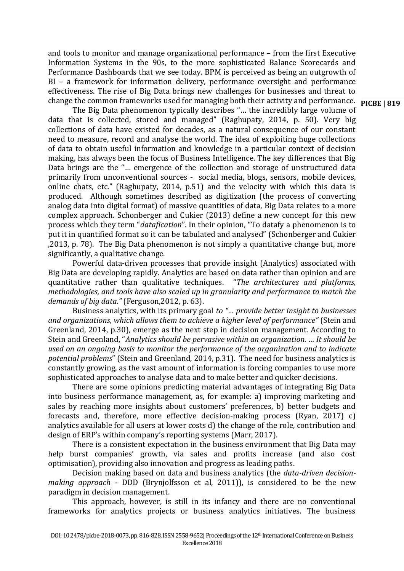change the common frameworks used for managing both their activity and performance. **PICBE | 819** and tools to monitor and manage organizational performance – from the first Executive Information Systems in the 90s, to the more sophisticated Balance Scorecards and Performance Dashboards that we see today. BPM is perceived as being an outgrowth of BI – a framework for information delivery, performance oversight and performance effectiveness. The rise of Big Data brings new challenges for businesses and threat to

The Big Data phenomenon typically describes "… the incredibly large volume of data that is collected, stored and managed" (Raghupaty, 2014, p. 50). Very big collections of data have existed for decades, as a natural consequence of our constant need to measure, record and analyse the world. The idea of exploiting huge collections of data to obtain useful information and knowledge in a particular context of decision making, has always been the focus of Business Intelligence. The key differences that Big Data brings are the "… emergence of the collection and storage of unstructured data primarily from unconventional sources - social media, blogs, sensors, mobile devices, online chats, etc." (Raghupaty, 2014, p.51) and the velocity with which this data is produced. Although sometimes described as digitization (the process of converting analog data into digital format) of massive quantities of data, Big Data relates to a more complex approach. Schonberger and Cukier (2013) define a new concept for this new process which they term "*datafication*". In their opinion, "To datafy a phenomenon is to put it in quantified format so it can be tabulated and analysed" (Schonberger and Cukier ,2013, p. 78). The Big Data phenomenon is not simply a quantitative change but, more significantly, a qualitative change.

Powerful data-driven processes that provide insight (Analytics) associated with Big Data are developing rapidly. Analytics are based on data rather than opinion and are quantitative rather than qualitative techniques. "*The architectures and platforms, methodologies, and tools have also scaled up in granularity and performance to match the demands of big data."* (Ferguson,2012, p. 63).

Business analytics, with its primary goal *to "… provide better insight to businesses and organizations, which allows them to achieve a higher level of performance"* (Stein and Greenland, 2014, p.30), emerge as the next step in decision management. According to Stein and Greenland, "*Analytics should be pervasive within an organization. … It should be used on an ongoing basis to monitor the performance of the organization and to indicate potential problems*" (Stein and Greenland, 2014, p.31). The need for business analytics is constantly growing, as the vast amount of information is forcing companies to use more sophisticated approaches to analyse data and to make better and quicker decisions.

There are some opinions predicting material advantages of integrating Big Data into business performance management, as, for example: a) improving marketing and sales by reaching more insights about customers' preferences, b) better budgets and forecasts and, therefore, more effective decision-making process (Ryan, 2017) c) analytics available for all users at lower costs d) the change of the role, contribution and design of ERP's within company's reporting systems (Marr, 2017).

There is a consistent expectation in the business environment that Big Data may help burst companies' growth, via sales and profits increase (and also cost optimisation), providing also innovation and progress as leading paths.

Decision making based on data and business analytics (the *data-driven decisionmaking approach* - DDD (Brynjolfsson et al, 2011)), is considered to be the new paradigm in decision management.

 This approach, however, is still in its infancy and there are no conventional frameworks for analytics projects or business analytics initiatives. The business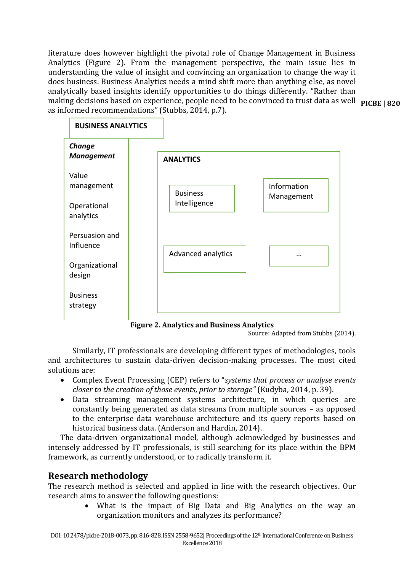making decisions based on experience, people need to be convinced to trust data as well **PICBE | 820** literature does however highlight the pivotal role of Change Management in Business Analytics (Figure 2). From the management perspective, the main issue lies in understanding the value of insight and convincing an organization to change the way it does business. Business Analytics needs a mind shift more than anything else, as novel analytically based insights identify opportunities to do things differently. "Rather than as informed recommendations" (Stubbs, 2014, p.7).



**Figure 2. Analytics and Business Analytics**

Source: Adapted from Stubbs (2014).

Similarly, IT professionals are developing different types of methodologies, tools and architectures to sustain data-driven decision-making processes. The most cited solutions are:

- Complex Event Processing (CEP) refers to "*systems that process or analyse events closer to the creation of those events, prior to storage"* (Kudyba, 2014, p. 39).
- Data streaming management systems architecture, in which queries are constantly being generated as data streams from multiple sources – as opposed to the enterprise data warehouse architecture and its query reports based on historical business data. (Anderson and Hardin, 2014).

The data-driven organizational model, although acknowledged by businesses and intensely addressed by IT professionals, is still searching for its place within the BPM framework, as currently understood, or to radically transform it.

## **Research methodology**

The research method is selected and applied in line with the research objectives. Our research aims to answer the following questions:

> What is the impact of Big Data and Big Analytics on the way an organization monitors and analyzes its performance?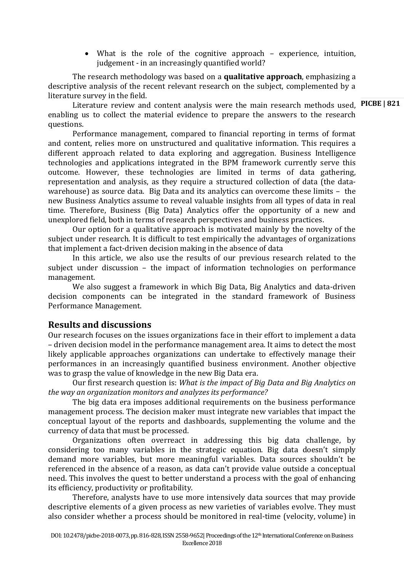What is the role of the cognitive approach – experience, intuition, judgement - in an increasingly quantified world?

The research methodology was based on a **qualitative approach**, emphasizing a descriptive analysis of the recent relevant research on the subject, complemented by a literature survey in the field.

Literature review and content analysis were the main research methods used, PICBE | 821 enabling us to collect the material evidence to prepare the answers to the research questions.

Performance management, compared to financial reporting in terms of format and content, relies more on unstructured and qualitative information. This requires a different approach related to data exploring and aggregation. Business Intelligence technologies and applications integrated in the BPM framework currently serve this outcome. However, these technologies are limited in terms of data gathering, representation and analysis, as they require a structured collection of data (the datawarehouse) as source data. Big Data and its analytics can overcome these limits – the new Business Analytics assume to reveal valuable insights from all types of data in real time. Therefore, Business (Big Data) Analytics offer the opportunity of a new and unexplored field, both in terms of research perspectives and business practices.

Our option for a qualitative approach is motivated mainly by the novelty of the subject under research. It is difficult to test empirically the advantages of organizations that implement a fact-driven decision making in the absence of data

In this article, we also use the results of our previous research related to the subject under discussion – the impact of information technologies on performance management.

We also suggest a framework in which Big Data, Big Analytics and data-driven decision components can be integrated in the standard framework of Business Performance Management.

### **Results and discussions**

Our research focuses on the issues organizations face in their effort to implement a data – driven decision model in the performance management area. It aims to detect the most likely applicable approaches organizations can undertake to effectively manage their performances in an increasingly quantified business environment. Another objective was to grasp the value of knowledge in the new Big Data era.

Our first research question is: *What is the impact of Big Data and Big Analytics on the way an organization monitors and analyzes its performance?*

The big data era imposes additional requirements on the business performance management process. The decision maker must integrate new variables that impact the conceptual layout of the reports and dashboards, supplementing the volume and the currency of data that must be processed.

Organizations often overreact in addressing this big data challenge, by considering too many variables in the strategic equation. Big data doesn't simply demand more variables, but more meaningful variables. Data sources shouldn't be referenced in the absence of a reason, as data can't provide value outside a conceptual need. This involves the quest to better understand a process with the goal of enhancing its efficiency, productivity or profitability.

Therefore, analysts have to use more intensively data sources that may provide descriptive elements of a given process as new varieties of variables evolve. They must also consider whether a process should be monitored in real-time (velocity, volume) in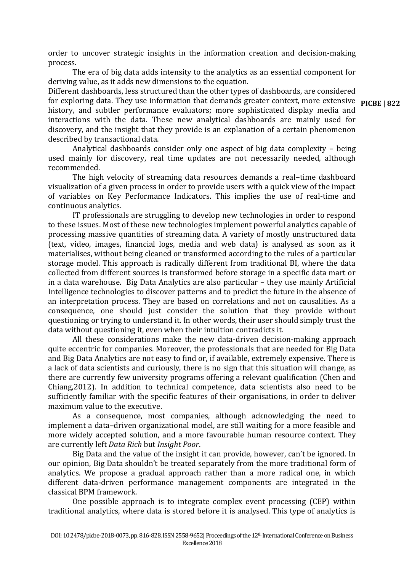order to uncover strategic insights in the information creation and decision-making process.

The era of big data adds intensity to the analytics as an essential component for deriving value, as it adds new dimensions to the equation.

for exploring data. They use information that demands greater context, more extensive **PICBE | 822** Different dashboards, less structured than the other types of dashboards, are considered history, and subtler performance evaluators; more sophisticated display media and interactions with the data. These new analytical dashboards are mainly used for discovery, and the insight that they provide is an explanation of a certain phenomenon described by transactional data.

Analytical dashboards consider only one aspect of big data complexity – being used mainly for discovery, real time updates are not necessarily needed, although recommended.

The high velocity of streaming data resources demands a real–time dashboard visualization of a given process in order to provide users with a quick view of the impact of variables on Key Performance Indicators. This implies the use of real-time and continuous analytics.

IT professionals are struggling to develop new technologies in order to respond to these issues. Most of these new technologies implement powerful analytics capable of processing massive quantities of streaming data. A variety of mostly unstructured data (text, video, images, financial logs, media and web data) is analysed as soon as it materialises, without being cleaned or transformed according to the rules of a particular storage model. This approach is radically different from traditional BI, where the data collected from different sources is transformed before storage in a specific data mart or in a data warehouse. Big Data Analytics are also particular – they use mainly Artificial Intelligence technologies to discover patterns and to predict the future in the absence of an interpretation process. They are based on correlations and not on causalities. As a consequence, one should just consider the solution that they provide without questioning or trying to understand it. In other words, their user should simply trust the data without questioning it, even when their intuition contradicts it.

All these considerations make the new data-driven decision-making approach quite eccentric for companies. Moreover, the professionals that are needed for Big Data and Big Data Analytics are not easy to find or, if available, extremely expensive. There is a lack of data scientists and curiously, there is no sign that this situation will change, as there are currently few university programs offering a relevant qualification (Chen and Chiang,2012). In addition to technical competence, data scientists also need to be sufficiently familiar with the specific features of their organisations, in order to deliver maximum value to the executive.

As a consequence, most companies, although acknowledging the need to implement a data–driven organizational model, are still waiting for a more feasible and more widely accepted solution, and a more favourable human resource context. They are currently left *Data Rich* but *Insight Poor*.

Big Data and the value of the insight it can provide, however, can't be ignored. In our opinion, Big Data shouldn't be treated separately from the more traditional form of analytics. We propose a gradual approach rather than a more radical one, in which different data-driven performance management components are integrated in the classical BPM framework.

One possible approach is to integrate complex event processing (CEP) within traditional analytics, where data is stored before it is analysed. This type of analytics is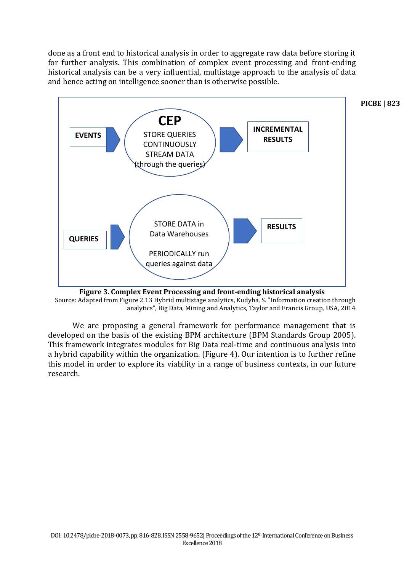done as a front end to historical analysis in order to aggregate raw data before storing it for further analysis. This combination of complex event processing and front-ending historical analysis can be a very influential, multistage approach to the analysis of data and hence acting on intelligence sooner than is otherwise possible.



**Figure 3. Complex Event Processing and front-ending historical analysis** Source: Adapted from Figure 2.13 Hybrid multistage analytics, Kudyba, S. "Information creation through analytics", Big Data, Mining and Analytics, Taylor and Francis Group, USA, 2014

We are proposing a general framework for performance management that is developed on the basis of the existing BPM architecture (BPM Standards Group 2005). This framework integrates modules for Big Data real-time and continuous analysis into a hybrid capability within the organization. (Figure 4). Our intention is to further refine this model in order to explore its viability in a range of business contexts, in our future research.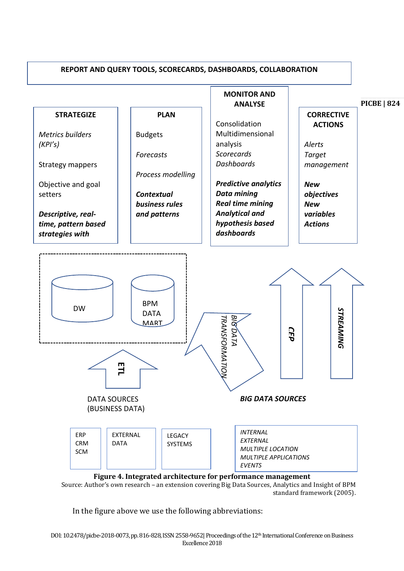

Source: Author's own research – an extension covering Big Data Sources, Analytics and Insight of BPM  $\frac{1}{10}$  standard framework (2005).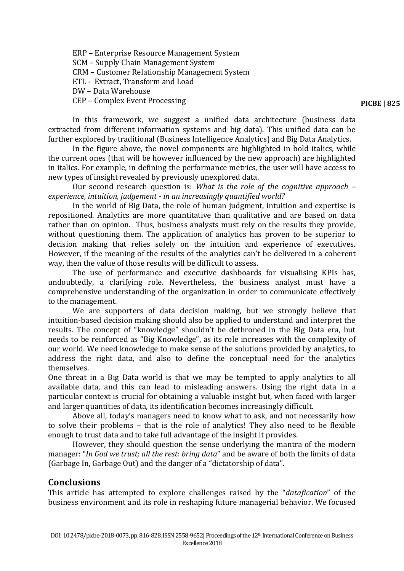ERP – Enterprise Resource Management System SCM – Supply Chain Management System CRM – Customer Relationship Management System ETL - Extract, Transform and Load DW – Data Warehouse CEP – Complex Event Processing

**PICBE | 825**

In this framework, we suggest a unified data architecture (business data extracted from different information systems and big data). This unified data can be further explored by traditional (Business Intelligence Analytics) and Big Data Analytics.

In the figure above, the novel components are highlighted in bold italics, while the current ones (that will be however influenced by the new approach) are highlighted in italics. For example, in defining the performance metrics, the user will have access to new types of insight revealed by previously unexplored data.

Our second research question is: *What is the role of the cognitive approach – experience, intuition, judgement - in an increasingly quantified world?*

In the world of Big Data, the role of human judgment, intuition and expertise is repositioned. Analytics are more quantitative than qualitative and are based on data rather than on opinion. Thus, business analysts must rely on the results they provide, without questioning them. The application of analytics has proven to be superior to decision making that relies solely on the intuition and experience of executives. However, if the meaning of the results of the analytics can't be delivered in a coherent way, then the value of those results will be difficult to assess.

The use of performance and executive dashboards for visualising KPIs has, undoubtedly, a clarifying role. Nevertheless, the business analyst must have a comprehensive understanding of the organization in order to communicate effectively to the management.

We are supporters of data decision making, but we strongly believe that intuition-based decision making should also be applied to understand and interpret the results. The concept of "knowledge" shouldn't be dethroned in the Big Data era, but needs to be reinforced as "Big Knowledge", as its role increases with the complexity of our world. We need knowledge to make sense of the solutions provided by analytics, to address the right data, and also to define the conceptual need for the analytics themselves.

One threat in a Big Data world is that we may be tempted to apply analytics to all available data, and this can lead to misleading answers. Using the right data in a particular context is crucial for obtaining a valuable insight but, when faced with larger and larger quantities of data, its identification becomes increasingly difficult.

Above all, today's managers need to know what to ask, and not necessarily how to solve their problems – that is the role of analytics! They also need to be flexible enough to trust data and to take full advantage of the insight it provides.

However, they should question the sense underlying the mantra of the modern manager: "*In God we trust; all the rest: bring data*" and be aware of both the limits of data (Garbage In, Garbage Out) and the danger of a "dictatorship of data".

### **Conclusions**

This article has attempted to explore challenges raised by the "*datafication*" of the business environment and its role in reshaping future managerial behavior. We focused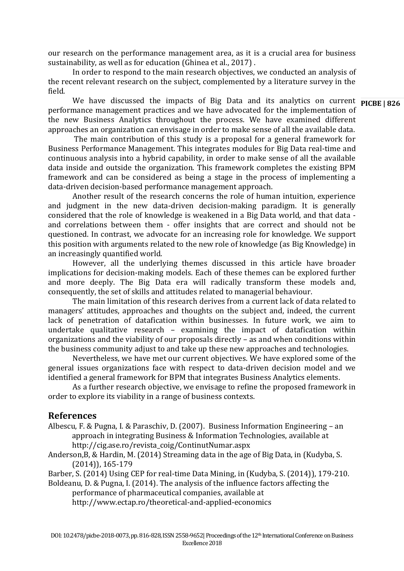our research on the performance management area, as it is a crucial area for business sustainability, as well as for education (Ghinea et al., 2017) .

In order to respond to the main research objectives, we conducted an analysis of the recent relevant research on the subject, complemented by a literature survey in the field.

We have discussed the impacts of Big Data and its analytics on current **PICBE 826** performance management practices and we have advocated for the implementation of the new Business Analytics throughout the process. We have examined different approaches an organization can envisage in order to make sense of all the available data.

The main contribution of this study is a proposal for a general framework for Business Performance Management. This integrates modules for Big Data real-time and continuous analysis into a hybrid capability, in order to make sense of all the available data inside and outside the organization. This framework completes the existing BPM framework and can be considered as being a stage in the process of implementing a data-driven decision-based performance management approach.

Another result of the research concerns the role of human intuition, experience and judgment in the new data-driven decision-making paradigm. It is generally considered that the role of knowledge is weakened in a Big Data world, and that data and correlations between them - offer insights that are correct and should not be questioned. In contrast, we advocate for an increasing role for knowledge. We support this position with arguments related to the new role of knowledge (as Big Knowledge) in an increasingly quantified world.

However, all the underlying themes discussed in this article have broader implications for decision-making models. Each of these themes can be explored further and more deeply. The Big Data era will radically transform these models and, consequently, the set of skills and attitudes related to managerial behaviour.

The main limitation of this research derives from a current lack of data related to managers' attitudes, approaches and thoughts on the subject and, indeed, the current lack of penetration of datafication within businesses. In future work, we aim to undertake qualitative research – examining the impact of datafication within organizations and the viability of our proposals directly – as and when conditions within the business community adjust to and take up these new approaches and technologies.

Nevertheless, we have met our current objectives. We have explored some of the general issues organizations face with respect to data-driven decision model and we identified a general framework for BPM that integrates Business Analytics elements.

As a further research objective, we envisage to refine the proposed framework in order to explore its viability in a range of business contexts.

### **References**

Albescu, F. & Pugna, I. & Paraschiv, D. (2007). Business Information Engineering – an approach in integrating Business & Information Technologies, available at [http://cig.ase.ro/revista\\_coig/ContinutNumar.aspx](http://cig.ase.ro/revista_coig/ContinutNumar.aspx)

Anderson,B, & Hardin, M. (2014) Streaming data in the age of Big Data, in (Kudyba, S. (2014)), 165-179

Barber, S. (2014) Using CEP for real-time Data Mining, in (Kudyba, S. (2014)), 179-210.

Boldeanu, D. & Pugna, I. (2014). The analysis of the influence factors affecting the performance of pharmaceutical companies, available at

<http://www.ectap.ro/theoretical-and-applied-economics>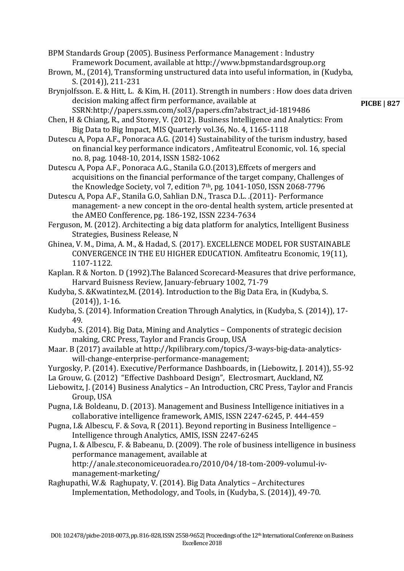BPM Standards Group (2005). Business Performance Management : Industry Framework Document, available at [http://www.bpmstandardsgroup.org](http://www.bpmstandardsgroup.org/)

Brown, M., (2014), Transforming unstructured data into useful information, in (Kudyba, S. (2014)), 211-231

Brynjolfsson. E. & Hitt, L. & Kim, H. (2011). Strength in numbers : How does data driven decision making affect firm performance, available at SSRN:http://papers.ssm.com/sol3/papers.cfm?abstract\_id-1819486

Chen, H & Chiang, R., and Storey, V. (2012). Business Intelligence and Analytics: From Big Data to Big Impact, MIS Quarterly vol.36, No. 4, 1165-1118

Dutescu A, Popa A.F., Ponoraca A.G. (2014) Sustainability of the turism industry, based on financial key performance indicators , Amfiteatrul Economic, vol. 16, special no. 8, pag. 1048-10, 2014, ISSN 1582-1062

Dutescu A, Popa A.F., Ponoraca A.G., Stanila G.O.(2013),Effcets of mergers and acquisitions on the financial performance of the target company, Challenges of the Knowledge Society, vol 7, edition 7th, pg. 1041-1050, ISSN 2068-7796

Dutescu A, Popa A.F., Stanila G.O, Sahlian D.N., Trasca D.L. .(2011)- Performance management- a new concept in the oro-dental health system, article presented at the AMEO Confference, pg. 186-192, ISSN 2234-7634

Ferguson, M. (2012). Architecting a big data platform for analytics, Intelligent Business Strategies, Business Release, N

Ghinea, V. M., Dima, A. M., & Hadad, S. (2017). EXCELLENCE MODEL FOR SUSTAINABLE CONVERGENCE IN THE EU HIGHER EDUCATION. Amfiteatru Economic, 19(11), 1107-1122.

Kaplan. R & Norton. D (1992).The Balanced Scorecard-Measures that drive performance, Harvard Buisness Review, January-february 1002, 71-79

Kudyba, S. &Kwatintez,M. (2014). Introduction to the Big Data Era, in (Kudyba, S. (2014)), 1-16.

Kudyba, S. (2014). Information Creation Through Analytics, in (Kudyba, S. (2014)), 17- 49.

Kudyba, S. (2014). Big Data, Mining and Analytics – Components of strategic decision making, CRC Press, Taylor and Francis Group, USA

- Maar. B (2017) available at [http://kpilibrary.com/topics/3-ways-big-data-analytics](http://kpilibrary.com/topics/3-ways-big-data-analytics-will-change-enterprise-performance-management)[will-change-enterprise-performance-management;](http://kpilibrary.com/topics/3-ways-big-data-analytics-will-change-enterprise-performance-management)
- Yurgosky, P. (2014). Executive/Performance Dashboards, in (Liebowitz, J. 2014)), 55-92
- La Grouw, G. (2012) "Effective Dashboard Design", Electrosmart, Auckland, NZ
- Liebowitz, J. (2014) Business Analytics An Introduction, CRC Press, Taylor and Francis Group, USA
- Pugna, I.& Boldeanu, D. (2013). Management and Business Intelligence initiatives in a collaborative intelligence framework, AMIS, ISSN 2247-6245, P. 444-459
- Pugna, I.& Albescu, F. & Sova, R (2011). Beyond reporting in Business Intelligence Intelligence through Analytics, AMIS, ISSN 2247-6245
- Pugna, I. & Albescu, F. & Babeanu, D. (2009). The role of business intelligence in business performance management, available at [http://anale.steconomiceuoradea.ro/2010/04/18-tom-2009-volumul-iv](http://anale.steconomiceuoradea.ro/2010/04/18-tom-2009-volumul-iv-management-marketing/)[management-marketing/](http://anale.steconomiceuoradea.ro/2010/04/18-tom-2009-volumul-iv-management-marketing/)
- Raghupathi, W.& Raghupaty, V. (2014). Big Data Analytics Architectures Implementation, Methodology, and Tools, in (Kudyba, S. (2014)), 49-70.

**PICBE | 827**